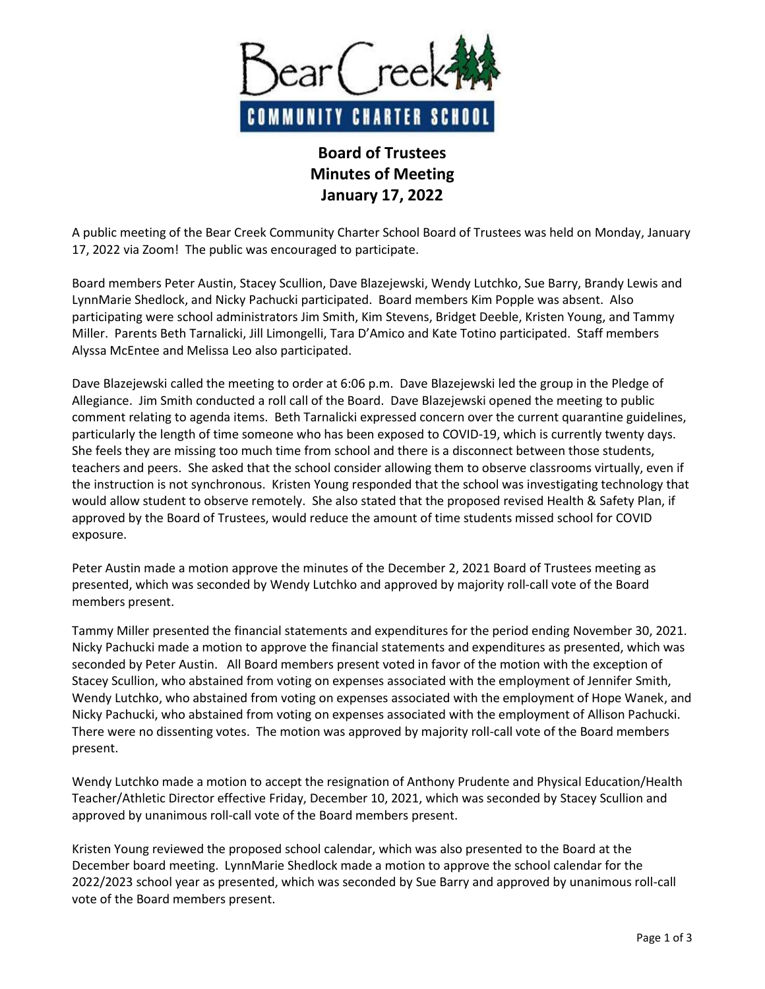

## **Board of Trustees Minutes of Meeting January 17, 2022**

A public meeting of the Bear Creek Community Charter School Board of Trustees was held on Monday, January 17, 2022 via Zoom! The public was encouraged to participate.

Board members Peter Austin, Stacey Scullion, Dave Blazejewski, Wendy Lutchko, Sue Barry, Brandy Lewis and LynnMarie Shedlock, and Nicky Pachucki participated. Board members Kim Popple was absent. Also participating were school administrators Jim Smith, Kim Stevens, Bridget Deeble, Kristen Young, and Tammy Miller. Parents Beth Tarnalicki, Jill Limongelli, Tara D'Amico and Kate Totino participated. Staff members Alyssa McEntee and Melissa Leo also participated.

Dave Blazejewski called the meeting to order at 6:06 p.m. Dave Blazejewski led the group in the Pledge of Allegiance. Jim Smith conducted a roll call of the Board. Dave Blazejewski opened the meeting to public comment relating to agenda items. Beth Tarnalicki expressed concern over the current quarantine guidelines, particularly the length of time someone who has been exposed to COVID-19, which is currently twenty days. She feels they are missing too much time from school and there is a disconnect between those students, teachers and peers. She asked that the school consider allowing them to observe classrooms virtually, even if the instruction is not synchronous. Kristen Young responded that the school was investigating technology that would allow student to observe remotely. She also stated that the proposed revised Health & Safety Plan, if approved by the Board of Trustees, would reduce the amount of time students missed school for COVID exposure.

Peter Austin made a motion approve the minutes of the December 2, 2021 Board of Trustees meeting as presented, which was seconded by Wendy Lutchko and approved by majority roll-call vote of the Board members present.

Tammy Miller presented the financial statements and expenditures for the period ending November 30, 2021. Nicky Pachucki made a motion to approve the financial statements and expenditures as presented, which was seconded by Peter Austin. All Board members present voted in favor of the motion with the exception of Stacey Scullion, who abstained from voting on expenses associated with the employment of Jennifer Smith, Wendy Lutchko, who abstained from voting on expenses associated with the employment of Hope Wanek, and Nicky Pachucki, who abstained from voting on expenses associated with the employment of Allison Pachucki. There were no dissenting votes. The motion was approved by majority roll-call vote of the Board members present.

Wendy Lutchko made a motion to accept the resignation of Anthony Prudente and Physical Education/Health Teacher/Athletic Director effective Friday, December 10, 2021, which was seconded by Stacey Scullion and approved by unanimous roll-call vote of the Board members present.

Kristen Young reviewed the proposed school calendar, which was also presented to the Board at the December board meeting. LynnMarie Shedlock made a motion to approve the school calendar for the 2022/2023 school year as presented, which was seconded by Sue Barry and approved by unanimous roll-call vote of the Board members present.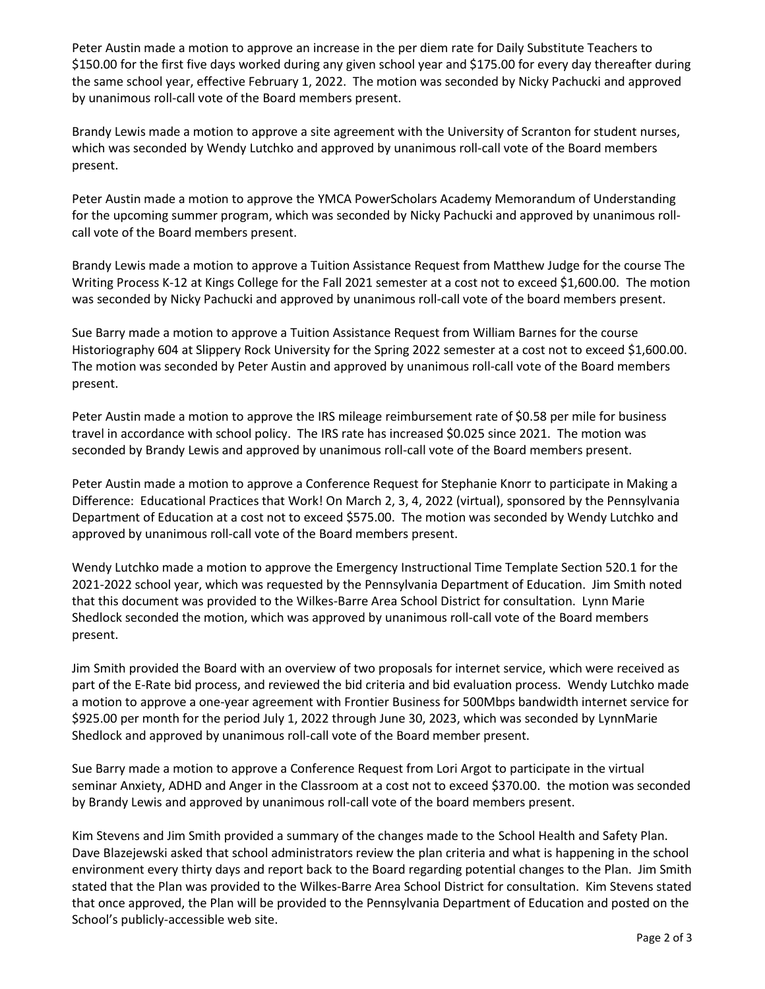Peter Austin made a motion to approve an increase in the per diem rate for Daily Substitute Teachers to \$150.00 for the first five days worked during any given school year and \$175.00 for every day thereafter during the same school year, effective February 1, 2022. The motion was seconded by Nicky Pachucki and approved by unanimous roll-call vote of the Board members present.

Brandy Lewis made a motion to approve a site agreement with the University of Scranton for student nurses, which was seconded by Wendy Lutchko and approved by unanimous roll-call vote of the Board members present.

Peter Austin made a motion to approve the YMCA PowerScholars Academy Memorandum of Understanding for the upcoming summer program, which was seconded by Nicky Pachucki and approved by unanimous rollcall vote of the Board members present.

Brandy Lewis made a motion to approve a Tuition Assistance Request from Matthew Judge for the course The Writing Process K-12 at Kings College for the Fall 2021 semester at a cost not to exceed \$1,600.00. The motion was seconded by Nicky Pachucki and approved by unanimous roll-call vote of the board members present.

Sue Barry made a motion to approve a Tuition Assistance Request from William Barnes for the course Historiography 604 at Slippery Rock University for the Spring 2022 semester at a cost not to exceed \$1,600.00. The motion was seconded by Peter Austin and approved by unanimous roll-call vote of the Board members present.

Peter Austin made a motion to approve the IRS mileage reimbursement rate of \$0.58 per mile for business travel in accordance with school policy. The IRS rate has increased \$0.025 since 2021. The motion was seconded by Brandy Lewis and approved by unanimous roll-call vote of the Board members present.

Peter Austin made a motion to approve a Conference Request for Stephanie Knorr to participate in Making a Difference: Educational Practices that Work! On March 2, 3, 4, 2022 (virtual), sponsored by the Pennsylvania Department of Education at a cost not to exceed \$575.00. The motion was seconded by Wendy Lutchko and approved by unanimous roll-call vote of the Board members present.

Wendy Lutchko made a motion to approve the Emergency Instructional Time Template Section 520.1 for the 2021-2022 school year, which was requested by the Pennsylvania Department of Education. Jim Smith noted that this document was provided to the Wilkes-Barre Area School District for consultation. Lynn Marie Shedlock seconded the motion, which was approved by unanimous roll-call vote of the Board members present.

Jim Smith provided the Board with an overview of two proposals for internet service, which were received as part of the E-Rate bid process, and reviewed the bid criteria and bid evaluation process. Wendy Lutchko made a motion to approve a one-year agreement with Frontier Business for 500Mbps bandwidth internet service for \$925.00 per month for the period July 1, 2022 through June 30, 2023, which was seconded by LynnMarie Shedlock and approved by unanimous roll-call vote of the Board member present.

Sue Barry made a motion to approve a Conference Request from Lori Argot to participate in the virtual seminar Anxiety, ADHD and Anger in the Classroom at a cost not to exceed \$370.00. the motion was seconded by Brandy Lewis and approved by unanimous roll-call vote of the board members present.

Kim Stevens and Jim Smith provided a summary of the changes made to the School Health and Safety Plan. Dave Blazejewski asked that school administrators review the plan criteria and what is happening in the school environment every thirty days and report back to the Board regarding potential changes to the Plan. Jim Smith stated that the Plan was provided to the Wilkes-Barre Area School District for consultation. Kim Stevens stated that once approved, the Plan will be provided to the Pennsylvania Department of Education and posted on the School's publicly-accessible web site.